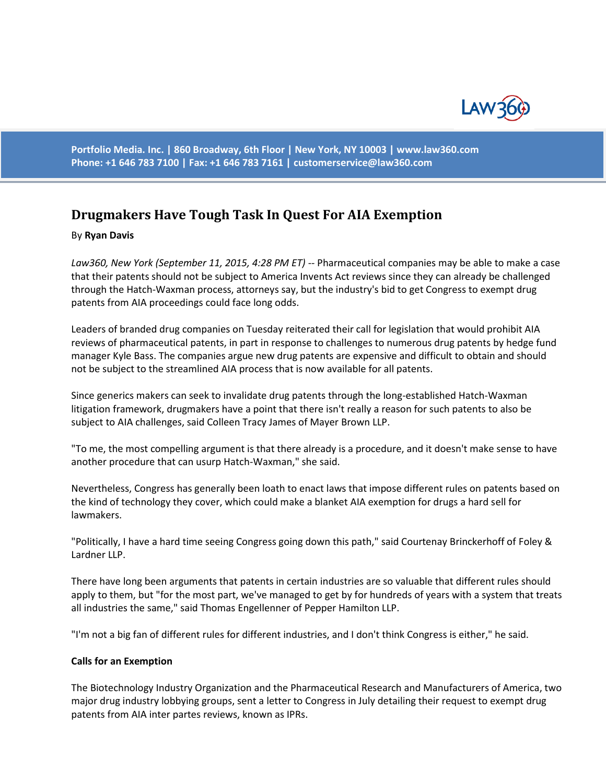

**Portfolio Media. Inc. | 860 Broadway, 6th Floor | New York, NY 10003 | www.law360.com Phone: +1 646 783 7100 | Fax: +1 646 783 7161 | [customerservice@law360.com](mailto:customerservice@law360.com)**

# **Drugmakers Have Tough Task In Quest For AIA Exemption**

### By **Ryan Davis**

*Law360, New York (September 11, 2015, 4:28 PM ET)* -- Pharmaceutical companies may be able to make a case that their patents should not be subject to America Invents Act reviews since they can already be challenged through the Hatch-Waxman process, attorneys say, but the industry's bid to get Congress to exempt drug patents from AIA proceedings could face long odds.

Leaders of branded drug companies on Tuesday reiterated their call for legislation that would prohibit AIA reviews of pharmaceutical patents, in part in response to challenges to numerous drug patents by hedge fund manager Kyle Bass. The companies argue new drug patents are expensive and difficult to obtain and should not be subject to the streamlined AIA process that is now available for all patents.

Since generics makers can seek to invalidate drug patents through the long-established Hatch-Waxman litigation framework, drugmakers have a point that there isn't really a reason for such patents to also be subject to AIA challenges, said Colleen Tracy James of Mayer Brown LLP.

"To me, the most compelling argument is that there already is a procedure, and it doesn't make sense to have another procedure that can usurp Hatch-Waxman," she said.

Nevertheless, Congress has generally been loath to enact laws that impose different rules on patents based on the kind of technology they cover, which could make a blanket AIA exemption for drugs a hard sell for lawmakers.

"Politically, I have a hard time seeing Congress going down this path," said Courtenay Brinckerhoff of Foley & Lardner LLP.

There have long been arguments that patents in certain industries are so valuable that different rules should apply to them, but "for the most part, we've managed to get by for hundreds of years with a system that treats all industries the same," said Thomas Engellenner of Pepper Hamilton LLP.

"I'm not a big fan of different rules for different industries, and I don't think Congress is either," he said.

#### **Calls for an Exemption**

The Biotechnology Industry Organization and the Pharmaceutical Research and Manufacturers of America, two major drug industry lobbying groups, sent a letter to Congress in July detailing their request to exempt drug patents from AIA inter partes reviews, known as IPRs.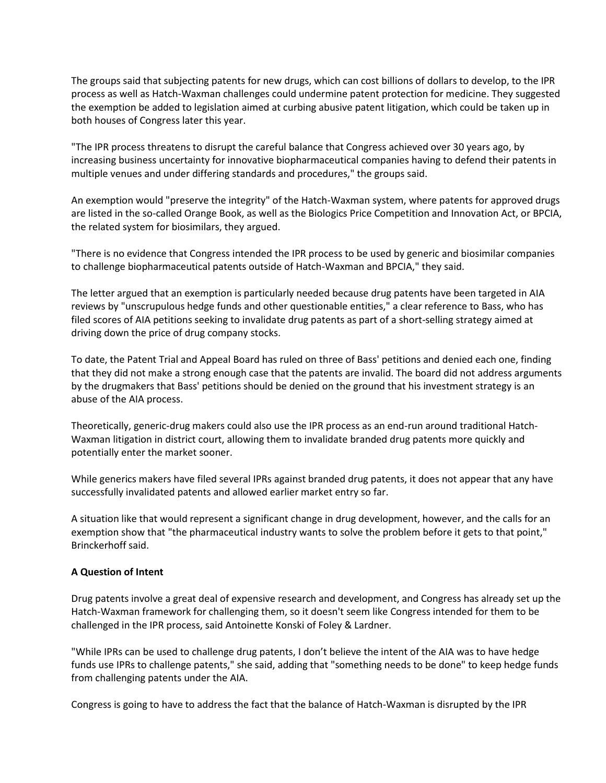The groups said that subjecting patents for new drugs, which can cost billions of dollars to develop, to the IPR process as well as Hatch-Waxman challenges could undermine patent protection for medicine. They suggested the exemption be added to legislation aimed at curbing abusive patent litigation, which could be taken up in both houses of Congress later this year.

"The IPR process threatens to disrupt the careful balance that Congress achieved over 30 years ago, by increasing business uncertainty for innovative biopharmaceutical companies having to defend their patents in multiple venues and under differing standards and procedures," the groups said.

An exemption would "preserve the integrity" of the Hatch-Waxman system, where patents for approved drugs are listed in the so-called Orange Book, as well as the Biologics Price Competition and Innovation Act, or BPCIA, the related system for biosimilars, they argued.

"There is no evidence that Congress intended the IPR process to be used by generic and biosimilar companies to challenge biopharmaceutical patents outside of Hatch-Waxman and BPCIA," they said.

The letter argued that an exemption is particularly needed because drug patents have been targeted in AIA reviews by "unscrupulous hedge funds and other questionable entities," a clear reference to Bass, who has filed scores of AIA petitions seeking to invalidate drug patents as part of a short-selling strategy aimed at driving down the price of drug company stocks.

To date, the Patent Trial and Appeal Board has ruled on three of Bass' petitions and denied each one, finding that they did not make a strong enough case that the patents are invalid. The board did not address arguments by the drugmakers that Bass' petitions should be denied on the ground that his investment strategy is an abuse of the AIA process.

Theoretically, generic-drug makers could also use the IPR process as an end-run around traditional Hatch-Waxman litigation in district court, allowing them to invalidate branded drug patents more quickly and potentially enter the market sooner.

While generics makers have filed several IPRs against branded drug patents, it does not appear that any have successfully invalidated patents and allowed earlier market entry so far.

A situation like that would represent a significant change in drug development, however, and the calls for an exemption show that "the pharmaceutical industry wants to solve the problem before it gets to that point," Brinckerhoff said.

## **A Question of Intent**

Drug patents involve a great deal of expensive research and development, and Congress has already set up the Hatch-Waxman framework for challenging them, so it doesn't seem like Congress intended for them to be challenged in the IPR process, said Antoinette Konski of Foley & Lardner.

"While IPRs can be used to challenge drug patents, I don't believe the intent of the AIA was to have hedge funds use IPRs to challenge patents," she said, adding that "something needs to be done" to keep hedge funds from challenging patents under the AIA.

Congress is going to have to address the fact that the balance of Hatch-Waxman is disrupted by the IPR